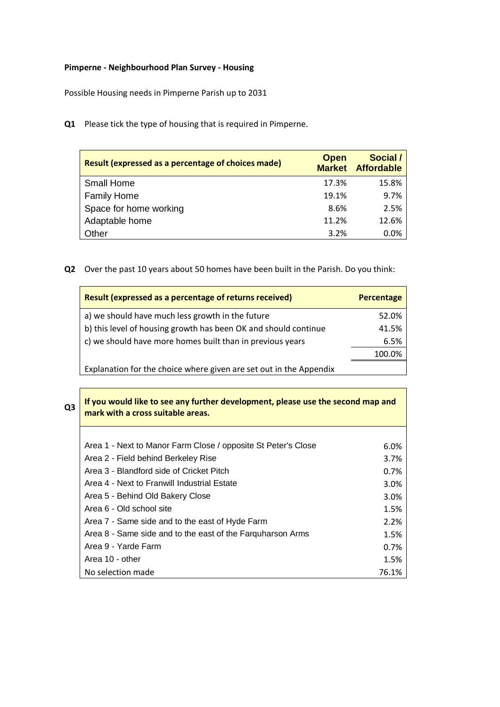## **Pimperne - Neighbourhood Plan Survey - Housing**

Possible Housing needs in Pimperne Parish up to 2031

**Q1** Please tick the type of housing that is required in Pimperne.

| Result (expressed as a percentage of choices made) | <b>Open</b> | Social /<br><b>Market Affordable</b> |
|----------------------------------------------------|-------------|--------------------------------------|
| <b>Small Home</b>                                  | 17.3%       | 15.8%                                |
| <b>Family Home</b>                                 | 19.1%       | 9.7%                                 |
| Space for home working                             | 8.6%        | 2.5%                                 |
| Adaptable home                                     | 11.2%       | 12.6%                                |
| Other                                              | 3.2%        | 0.0%                                 |

**Q2** Over the past 10 years about 50 homes have been built in the Parish. Do you think:

| Result (expressed as a percentage of returns received)             | <b>Percentage</b> |
|--------------------------------------------------------------------|-------------------|
| a) we should have much less growth in the future                   | 52.0%             |
| b) this level of housing growth has been OK and should continue    | 41.5%             |
| c) we should have more homes built than in previous years          | 6.5%              |
|                                                                    | 100.0%            |
| Explanation for the choice where given are set out in the Appendix |                   |

| Q <sub>3</sub> | If you would like to see any further development, please use the second map and<br>mark with a cross suitable areas. |       |
|----------------|----------------------------------------------------------------------------------------------------------------------|-------|
|                |                                                                                                                      |       |
|                | Area 1 - Next to Manor Farm Close / opposite St Peter's Close                                                        | 6.0%  |
|                | Area 2 - Field behind Berkeley Rise                                                                                  | 3.7%  |
|                | Area 3 - Blandford side of Cricket Pitch                                                                             | 0.7%  |
|                | Area 4 - Next to Franwill Industrial Estate                                                                          | 3.0%  |
|                | Area 5 - Behind Old Bakery Close                                                                                     | 3.0%  |
|                | Area 6 - Old school site                                                                                             | 1.5%  |
|                | Area 7 - Same side and to the east of Hyde Farm                                                                      | 2.2%  |
|                | Area 8 - Same side and to the east of the Farguharson Arms                                                           | 1.5%  |
|                | Area 9 - Yarde Farm                                                                                                  | 0.7%  |
|                | Area 10 - other                                                                                                      | 1.5%  |
|                | No selection made                                                                                                    | 76.1% |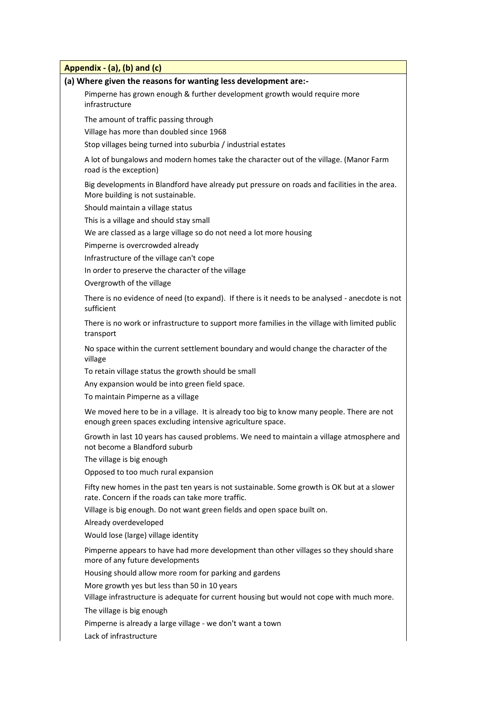| Appendix - (a), (b) and (c)                                                                                                                              |
|----------------------------------------------------------------------------------------------------------------------------------------------------------|
| (a) Where given the reasons for wanting less development are:-                                                                                           |
| Pimperne has grown enough & further development growth would require more<br>infrastructure                                                              |
| The amount of traffic passing through                                                                                                                    |
| Village has more than doubled since 1968                                                                                                                 |
| Stop villages being turned into suburbia / industrial estates                                                                                            |
| A lot of bungalows and modern homes take the character out of the village. (Manor Farm<br>road is the exception)                                         |
| Big developments in Blandford have already put pressure on roads and facilities in the area.<br>More building is not sustainable.                        |
| Should maintain a village status                                                                                                                         |
| This is a village and should stay small                                                                                                                  |
| We are classed as a large village so do not need a lot more housing                                                                                      |
| Pimperne is overcrowded already                                                                                                                          |
| Infrastructure of the village can't cope                                                                                                                 |
| In order to preserve the character of the village                                                                                                        |
| Overgrowth of the village                                                                                                                                |
| There is no evidence of need (to expand). If there is it needs to be analysed - anecdote is not<br>sufficient                                            |
| There is no work or infrastructure to support more families in the village with limited public<br>transport                                              |
| No space within the current settlement boundary and would change the character of the<br>village                                                         |
| To retain village status the growth should be small                                                                                                      |
| Any expansion would be into green field space.                                                                                                           |
| To maintain Pimperne as a village                                                                                                                        |
| We moved here to be in a village. It is already too big to know many people. There are not<br>enough green spaces excluding intensive agriculture space. |
| Growth in last 10 years has caused problems. We need to maintain a village atmosphere and<br>not become a Blandford suburb                               |
| The village is big enough                                                                                                                                |
| Opposed to too much rural expansion                                                                                                                      |
| Fifty new homes in the past ten years is not sustainable. Some growth is OK but at a slower<br>rate. Concern if the roads can take more traffic.         |
| Village is big enough. Do not want green fields and open space built on.                                                                                 |
| Already overdeveloped                                                                                                                                    |
| Would lose (large) village identity                                                                                                                      |
| Pimperne appears to have had more development than other villages so they should share<br>more of any future developments                                |
| Housing should allow more room for parking and gardens                                                                                                   |
| More growth yes but less than 50 in 10 years                                                                                                             |
| Village infrastructure is adequate for current housing but would not cope with much more.                                                                |
| The village is big enough                                                                                                                                |
| Pimperne is already a large village - we don't want a town                                                                                               |
| Lack of infrastructure                                                                                                                                   |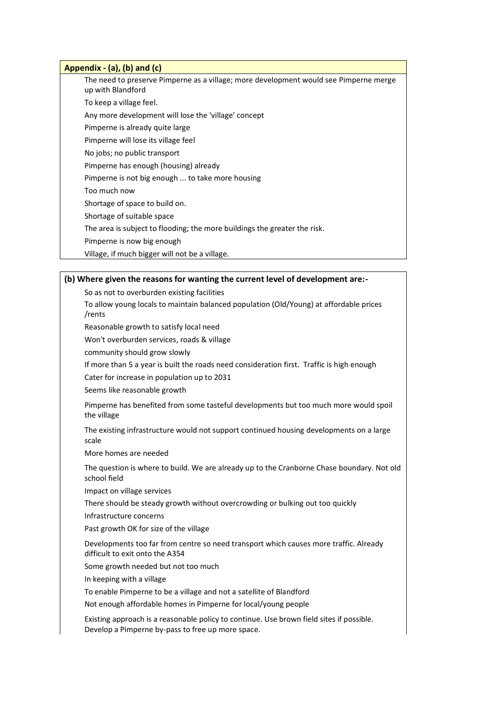# **Appendix - (a), (b) and (c)** The need to preserve Pimperne as a village; more development would see Pimperne merge up with Blandford To keep a village feel. Any more development will lose the 'village' concept Pimperne is already quite large Pimperne will lose its village feel No jobs; no public transport Pimperne has enough (housing) already Pimperne is not big enough ... to take more housing Too much now Shortage of space to build on. Shortage of suitable space The area is subject to flooding; the more buildings the greater the risk. Pimperne is now big enough Village, if much bigger will not be a village.

## **(b) Where given the reasons for wanting the current level of development are:-**

So as not to overburden existing facilities

To allow young locals to maintain balanced population (Old/Young) at affordable prices /rents

Reasonable growth to satisfy local need

Won't overburden services, roads & village

community should grow slowly

If more than 5 a year is built the roads need consideration first. Traffic is high enough

Cater for increase in population up to 2031

Seems like reasonable growth

Pimperne has benefited from some tasteful developments but too much more would spoil the village

The existing infrastructure would not support continued housing developments on a large scale

More homes are needed

The question is where to build. We are already up to the Cranborne Chase boundary. Not old school field

Impact on village services

There should be steady growth without overcrowding or bulking out too quickly

Infrastructure concerns

Past growth OK for size of the village

Developments too far from centre so need transport which causes more traffic. Already difficult to exit onto the A354

Some growth needed but not too much

In keeping with a village

To enable Pimperne to be a village and not a satellite of Blandford

Not enough affordable homes in Pimperne for local/young people

Existing approach is a reasonable policy to continue. Use brown field sites if possible. Develop a Pimperne by-pass to free up more space.